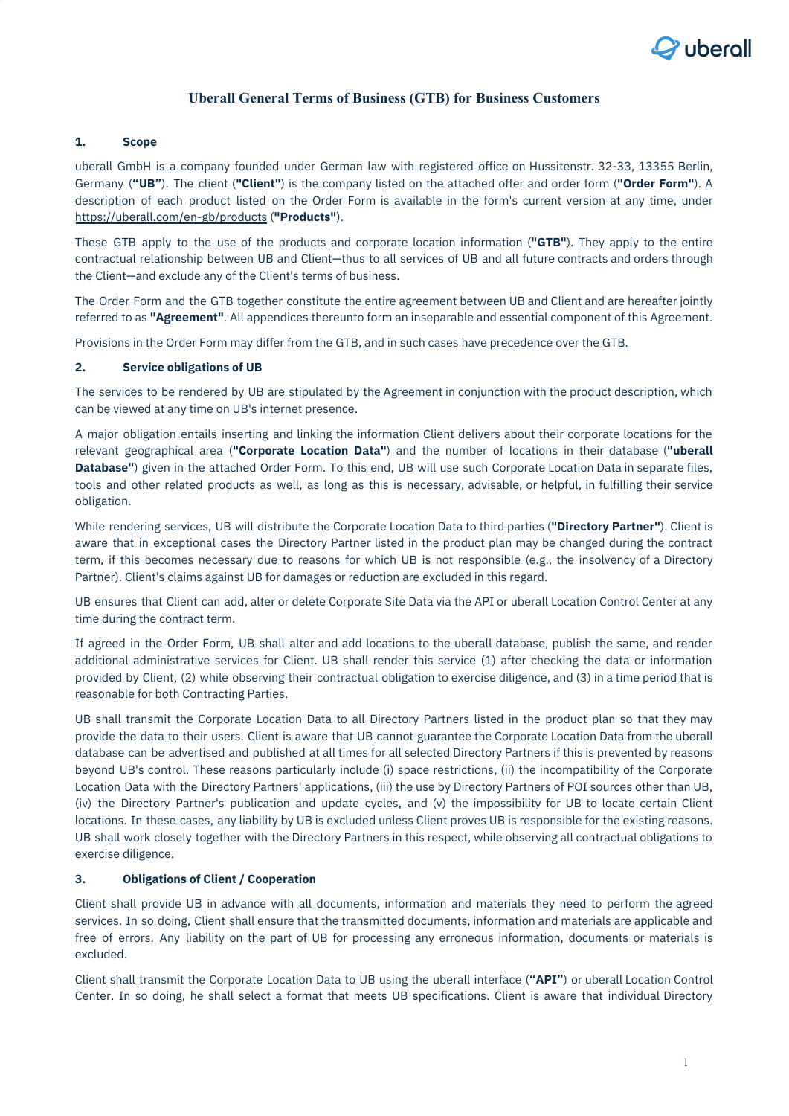

# **Uberall General Terms of Business (GTB) for Business Customers**

### **1. Scope**

uberall GmbH is a company founded under German law with registered office on Hussitenstr. 32-33, 13355 Berlin, Germany (**"UB"**). The client (**"Client"**) is the company listed on the attached offer and order form (**"Order Form"**). A description of each product listed on the Order Form is available in the form's current version at any time, under <https://uberall.com/en-gb/products> (**"Products"**).

These GTB apply to the use of the products and corporate location information (**"GTB"**). They apply to the entire contractual relationship between UB and Client—thus to all services of UB and all future contracts and orders through the Client—and exclude any of the Client's terms of business.

The Order Form and the GTB together constitute the entire agreement between UB and Client and are hereafter jointly referred to as **"Agreement"**. All appendices thereunto form an inseparable and essential component of this Agreement.

Provisions in the Order Form may differ from the GTB, and in such cases have precedence over the GTB.

### **2. Service obligations of UB**

The services to be rendered by UB are stipulated by the Agreement in conjunction with the product description, which can be viewed at any time on UB's internet presence.

A major obligation entails inserting and linking the information Client delivers about their corporate locations for the relevant geographical area (**"Corporate Location Data"**) and the number of locations in their database (**"uberall Database"**) given in the attached Order Form. To this end, UB will use such Corporate Location Data in separate files, tools and other related products as well, as long as this is necessary, advisable, or helpful, in fulfilling their service obligation.

While rendering services, UB will distribute the Corporate Location Data to third parties (**"Directory Partner"**). Client is aware that in exceptional cases the Directory Partner listed in the product plan may be changed during the contract term, if this becomes necessary due to reasons for which UB is not responsible (e.g., the insolvency of a Directory Partner). Client's claims against UB for damages or reduction are excluded in this regard.

UB ensures that Client can add, alter or delete Corporate Site Data via the API or uberall Location Control Center at any time during the contract term.

If agreed in the Order Form, UB shall alter and add locations to the uberall database, publish the same, and render additional administrative services for Client. UB shall render this service (1) after checking the data or information provided by Client, (2) while observing their contractual obligation to exercise diligence, and (3) in a time period that is reasonable for both Contracting Parties.

UB shall transmit the Corporate Location Data to all Directory Partners listed in the product plan so that they may provide the data to their users. Client is aware that UB cannot guarantee the Corporate Location Data from the uberall database can be advertised and published at all times for all selected Directory Partners if this is prevented by reasons beyond UB's control. These reasons particularly include (i) space restrictions, (ii) the incompatibility of the Corporate Location Data with the Directory Partners' applications, (iii) the use by Directory Partners of POI sources other than UB, (iv) the Directory Partner's publication and update cycles, and (v) the impossibility for UB to locate certain Client locations. In these cases, any liability by UB is excluded unless Client proves UB is responsible for the existing reasons. UB shall work closely together with the Directory Partners in this respect, while observing all contractual obligations to exercise diligence.

#### **3. Obligations of Client / Cooperation**

Client shall provide UB in advance with all documents, information and materials they need to perform the agreed services. In so doing, Client shall ensure that the transmitted documents, information and materials are applicable and free of errors. Any liability on the part of UB for processing any erroneous information, documents or materials is excluded.

Client shall transmit the Corporate Location Data to UB using the uberall interface (**"API"**) or uberall Location Control Center. In so doing, he shall select a format that meets UB specifications. Client is aware that individual Directory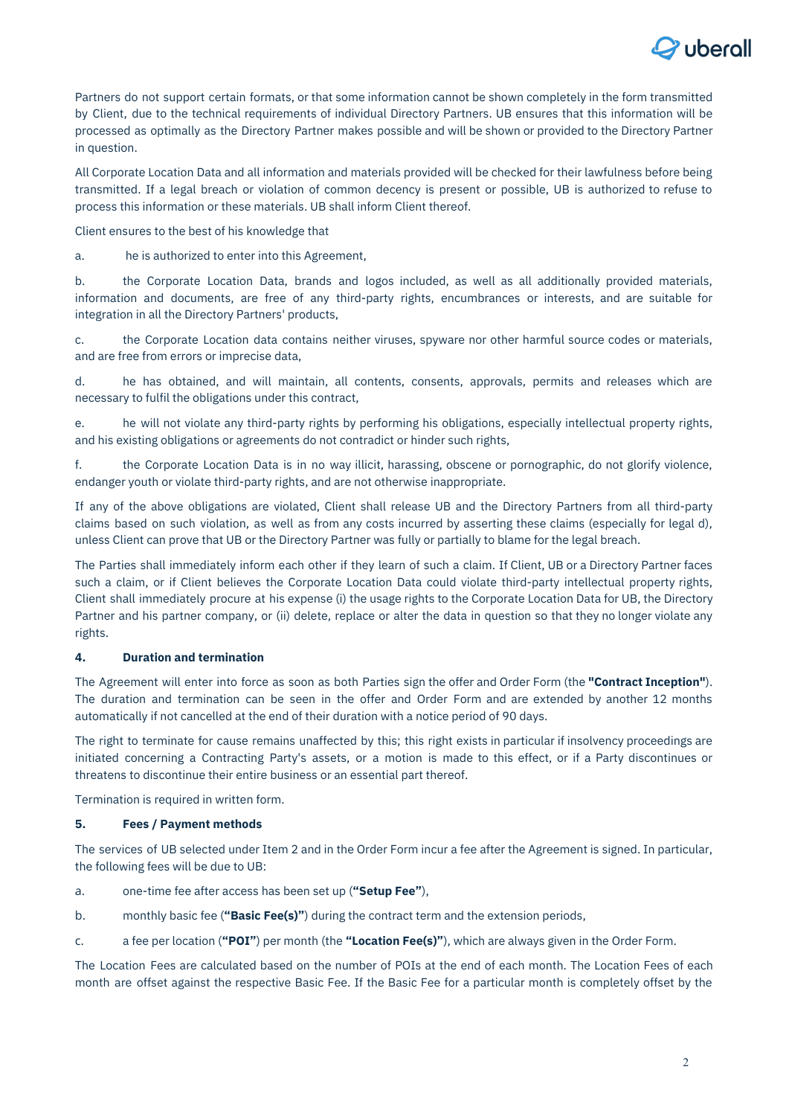

Partners do not support certain formats, or that some information cannot be shown completely in the form transmitted by Client, due to the technical requirements of individual Directory Partners. UB ensures that this information will be processed as optimally as the Directory Partner makes possible and will be shown or provided to the Directory Partner in question.

All Corporate Location Data and all information and materials provided will be checked for their lawfulness before being transmitted. If a legal breach or violation of common decency is present or possible, UB is authorized to refuse to process this information or these materials. UB shall inform Client thereof.

Client ensures to the best of his knowledge that

a. he is authorized to enter into this Agreement,

b. the Corporate Location Data, brands and logos included, as well as all additionally provided materials, information and documents, are free of any third-party rights, encumbrances or interests, and are suitable for integration in all the Directory Partners' products,

c. the Corporate Location data contains neither viruses, spyware nor other harmful source codes or materials, and are free from errors or imprecise data,

d. he has obtained, and will maintain, all contents, consents, approvals, permits and releases which are necessary to fulfil the obligations under this contract,

e. he will not violate any third-party rights by performing his obligations, especially intellectual property rights, and his existing obligations or agreements do not contradict or hinder such rights,

f. the Corporate Location Data is in no way illicit, harassing, obscene or pornographic, do not glorify violence, endanger youth or violate third-party rights, and are not otherwise inappropriate.

If any of the above obligations are violated, Client shall release UB and the Directory Partners from all third-party claims based on such violation, as well as from any costs incurred by asserting these claims (especially for legal d), unless Client can prove that UB or the Directory Partner was fully or partially to blame for the legal breach.

The Parties shall immediately inform each other if they learn of such a claim. If Client, UB or a Directory Partner faces such a claim, or if Client believes the Corporate Location Data could violate third-party intellectual property rights, Client shall immediately procure at his expense (i) the usage rights to the Corporate Location Data for UB, the Directory Partner and his partner company, or (ii) delete, replace or alter the data in question so that they no longer violate any rights.

# **4. Duration and termination**

The Agreement will enter into force as soon as both Parties sign the offer and Order Form (the **"Contract Inception"**). The duration and termination can be seen in the offer and Order Form and are extended by another 12 months automatically if not cancelled at the end of their duration with a notice period of 90 days.

The right to terminate for cause remains unaffected by this; this right exists in particular if insolvency proceedings are initiated concerning a Contracting Party's assets, or a motion is made to this effect, or if a Party discontinues or threatens to discontinue their entire business or an essential part thereof.

Termination is required in written form.

# **5. Fees / Payment methods**

The services of UB selected under Item 2 and in the Order Form incur a fee after the Agreement is signed. In particular, the following fees will be due to UB:

- a. one-time fee after access has been set up (**"Setup Fee"**),
- b. monthly basic fee (**"Basic Fee(s)"**) during the contract term and the extension periods,
- c. a fee per location (**"POI"**) per month (the **"Location Fee(s)"**), which are always given in the Order Form.

The Location Fees are calculated based on the number of POIs at the end of each month. The Location Fees of each month are offset against the respective Basic Fee. If the Basic Fee for a particular month is completely offset by the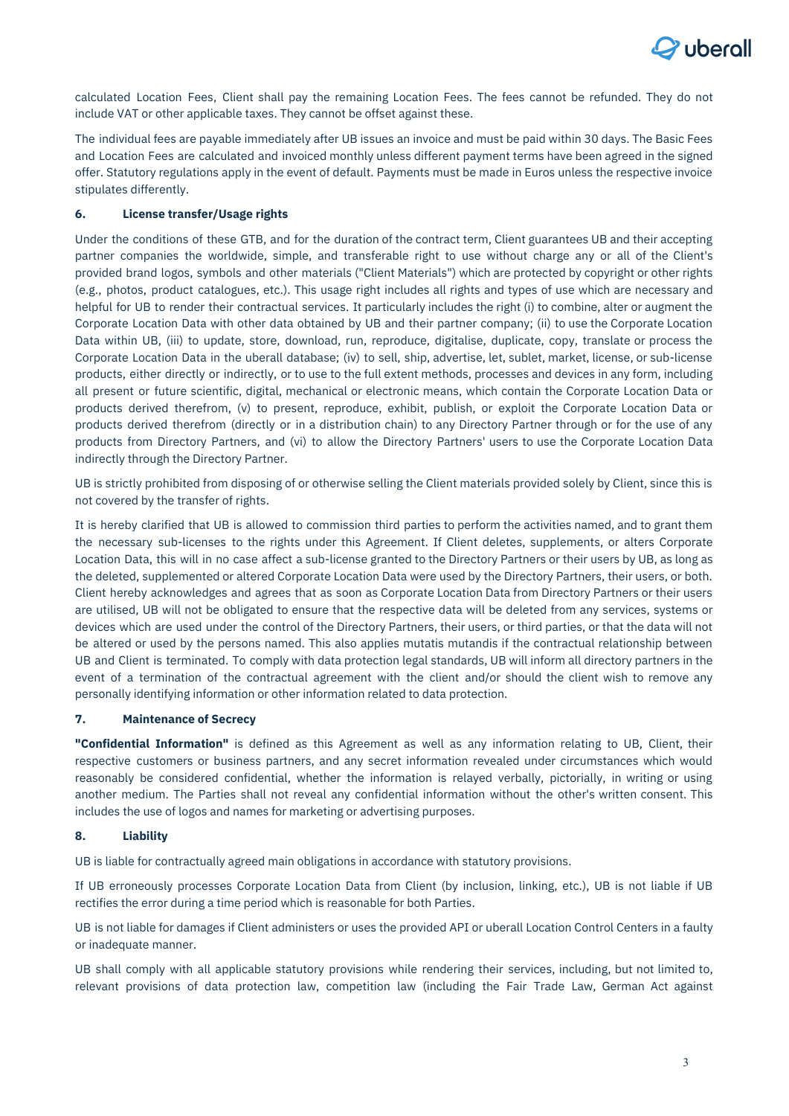

calculated Location Fees, Client shall pay the remaining Location Fees. The fees cannot be refunded. They do not include VAT or other applicable taxes. They cannot be offset against these.

The individual fees are payable immediately after UB issues an invoice and must be paid within 30 days. The Basic Fees and Location Fees are calculated and invoiced monthly unless different payment terms have been agreed in the signed offer. Statutory regulations apply in the event of default. Payments must be made in Euros unless the respective invoice stipulates differently.

### **6. License transfer/Usage rights**

Under the conditions of these GTB, and for the duration of the contract term, Client guarantees UB and their accepting partner companies the worldwide, simple, and transferable right to use without charge any or all of the Client's provided brand logos, symbols and other materials ("Client Materials") which are protected by copyright or other rights (e.g., photos, product catalogues, etc.). This usage right includes all rights and types of use which are necessary and helpful for UB to render their contractual services. It particularly includes the right (i) to combine, alter or augment the Corporate Location Data with other data obtained by UB and their partner company; (ii) to use the Corporate Location Data within UB, (iii) to update, store, download, run, reproduce, digitalise, duplicate, copy, translate or process the Corporate Location Data in the uberall database; (iv) to sell, ship, advertise, let, sublet, market, license, or sub-license products, either directly or indirectly, or to use to the full extent methods, processes and devices in any form, including all present or future scientific, digital, mechanical or electronic means, which contain the Corporate Location Data or products derived therefrom, (v) to present, reproduce, exhibit, publish, or exploit the Corporate Location Data or products derived therefrom (directly or in a distribution chain) to any Directory Partner through or for the use of any products from Directory Partners, and (vi) to allow the Directory Partners' users to use the Corporate Location Data indirectly through the Directory Partner.

UB is strictly prohibited from disposing of or otherwise selling the Client materials provided solely by Client, since this is not covered by the transfer of rights.

It is hereby clarified that UB is allowed to commission third parties to perform the activities named, and to grant them the necessary sub-licenses to the rights under this Agreement. If Client deletes, supplements, or alters Corporate Location Data, this will in no case affect a sub-license granted to the Directory Partners or their users by UB, as long as the deleted, supplemented or altered Corporate Location Data were used by the Directory Partners, their users, or both. Client hereby acknowledges and agrees that as soon as Corporate Location Data from Directory Partners or their users are utilised, UB will not be obligated to ensure that the respective data will be deleted from any services, systems or devices which are used under the control of the Directory Partners, their users, or third parties, or that the data will not be altered or used by the persons named. This also applies mutatis mutandis if the contractual relationship between UB and Client is terminated. To comply with data protection legal standards, UB will inform all directory partners in the event of a termination of the contractual agreement with the client and/or should the client wish to remove any personally identifying information or other information related to data protection.

#### **7. Maintenance of Secrecy**

**"Confidential Information"** is defined as this Agreement as well as any information relating to UB, Client, their respective customers or business partners, and any secret information revealed under circumstances which would reasonably be considered confidential, whether the information is relayed verbally, pictorially, in writing or using another medium. The Parties shall not reveal any confidential information without the other's written consent. This includes the use of logos and names for marketing or advertising purposes.

### **8. Liability**

UB is liable for contractually agreed main obligations in accordance with statutory provisions.

If UB erroneously processes Corporate Location Data from Client (by inclusion, linking, etc.), UB is not liable if UB rectifies the error during a time period which is reasonable for both Parties.

UB is not liable for damages if Client administers or uses the provided API or uberall Location Control Centers in a faulty or inadequate manner.

UB shall comply with all applicable statutory provisions while rendering their services, including, but not limited to, relevant provisions of data protection law, competition law (including the Fair Trade Law, German Act against